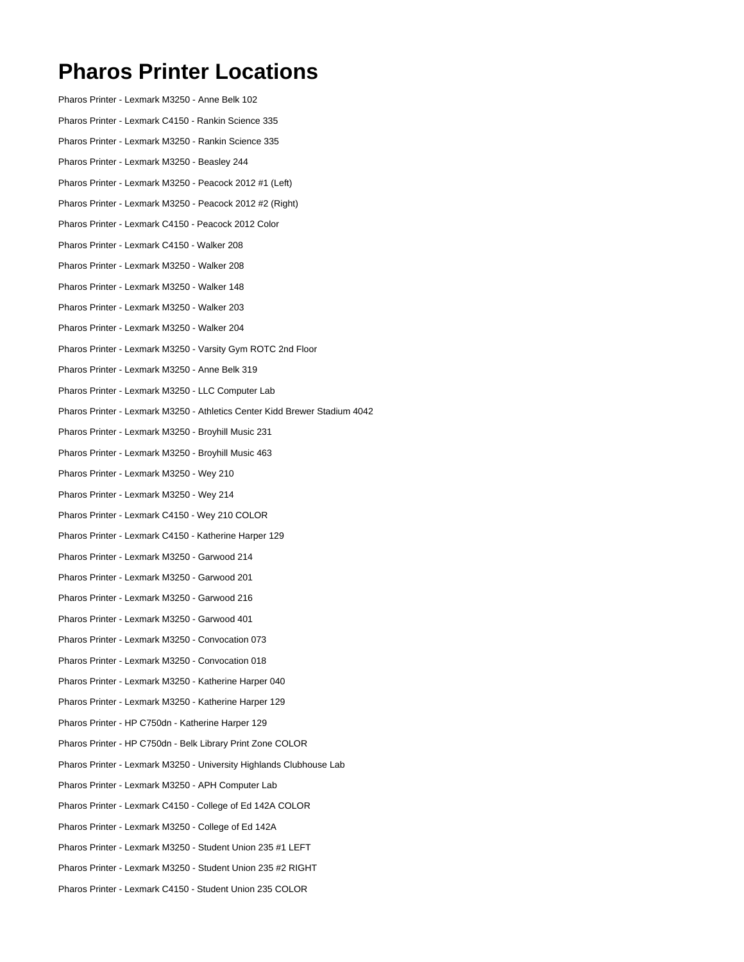## **Pharos Printer Locations**

Pharos Printer - Lexmark M3250 - Anne Belk 102 Pharos Printer - Lexmark C4150 - Rankin Science 335 Pharos Printer - Lexmark M3250 - Rankin Science 335 Pharos Printer - Lexmark M3250 - Beasley 244 Pharos Printer - Lexmark M3250 - Peacock 2012 #1 (Left) Pharos Printer - Lexmark M3250 - Peacock 2012 #2 (Right) Pharos Printer - Lexmark C4150 - Peacock 2012 Color Pharos Printer - Lexmark C4150 - Walker 208 Pharos Printer - Lexmark M3250 - Walker 208 Pharos Printer - Lexmark M3250 - Walker 148 Pharos Printer - Lexmark M3250 - Walker 203 Pharos Printer - Lexmark M3250 - Walker 204 Pharos Printer - Lexmark M3250 - Varsity Gym ROTC 2nd Floor Pharos Printer - Lexmark M3250 - Anne Belk 319 Pharos Printer - Lexmark M3250 - LLC Computer Lab Pharos Printer - Lexmark M3250 - Athletics Center Kidd Brewer Stadium 4042 Pharos Printer - Lexmark M3250 - Broyhill Music 231 Pharos Printer - Lexmark M3250 - Broyhill Music 463 Pharos Printer - Lexmark M3250 - Wey 210 Pharos Printer - Lexmark M3250 - Wey 214 Pharos Printer - Lexmark C4150 - Wey 210 COLOR Pharos Printer - Lexmark C4150 - Katherine Harper 129 Pharos Printer - Lexmark M3250 - Garwood 214 Pharos Printer - Lexmark M3250 - Garwood 201 Pharos Printer - Lexmark M3250 - Garwood 216 Pharos Printer - Lexmark M3250 - Garwood 401 Pharos Printer - Lexmark M3250 - Convocation 073 Pharos Printer - Lexmark M3250 - Convocation 018 Pharos Printer - Lexmark M3250 - Katherine Harper 040 Pharos Printer - Lexmark M3250 - Katherine Harper 129 Pharos Printer - HP C750dn - Katherine Harper 129 Pharos Printer - HP C750dn - Belk Library Print Zone COLOR Pharos Printer - Lexmark M3250 - University Highlands Clubhouse Lab Pharos Printer - Lexmark M3250 - APH Computer Lab Pharos Printer - Lexmark C4150 - College of Ed 142A COLOR Pharos Printer - Lexmark M3250 - College of Ed 142A Pharos Printer - Lexmark M3250 - Student Union 235 #1 LEFT Pharos Printer - Lexmark M3250 - Student Union 235 #2 RIGHT Pharos Printer - Lexmark C4150 - Student Union 235 COLOR